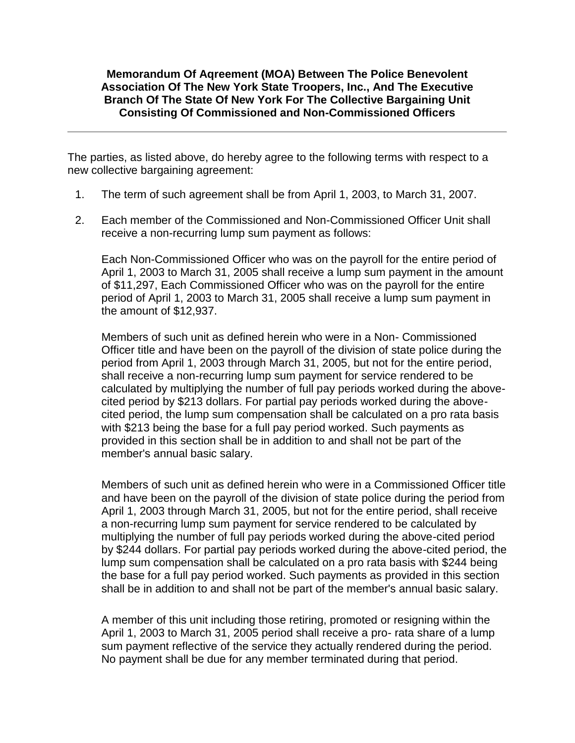#### **Memorandum Of Aqreement (MOA) Between The Police Benevolent Association Of The New York State Troopers, Inc., And The Executive Branch Of The State Of New York For The Collective Bargaining Unit Consisting Of Commissioned and Non-Commissioned Officers**

The parties, as listed above, do hereby agree to the following terms with respect to a new collective bargaining agreement:

- 1. The term of such agreement shall be from April 1, 2003, to March 31, 2007.
- 2. Each member of the Commissioned and Non-Commissioned Officer Unit shall receive a non-recurring lump sum payment as follows:

Each Non-Commissioned Officer who was on the payroll for the entire period of April 1, 2003 to March 31, 2005 shall receive a lump sum payment in the amount of \$11,297, Each Commissioned Officer who was on the payroll for the entire period of April 1, 2003 to March 31, 2005 shall receive a lump sum payment in the amount of \$12,937.

Members of such unit as defined herein who were in a Non- Commissioned Officer title and have been on the payroll of the division of state police during the period from April 1, 2003 through March 31, 2005, but not for the entire period, shall receive a non-recurring lump sum payment for service rendered to be calculated by multiplying the number of full pay periods worked during the abovecited period by \$213 dollars. For partial pay periods worked during the abovecited period, the lump sum compensation shall be calculated on a pro rata basis with \$213 being the base for a full pay period worked. Such payments as provided in this section shall be in addition to and shall not be part of the member's annual basic salary.

Members of such unit as defined herein who were in a Commissioned Officer title and have been on the payroll of the division of state police during the period from April 1, 2003 through March 31, 2005, but not for the entire period, shall receive a non-recurring lump sum payment for service rendered to be calculated by multiplying the number of full pay periods worked during the above-cited period by \$244 dollars. For partial pay periods worked during the above-cited period, the lump sum compensation shall be calculated on a pro rata basis with \$244 being the base for a full pay period worked. Such payments as provided in this section shall be in addition to and shall not be part of the member's annual basic salary.

A member of this unit including those retiring, promoted or resigning within the April 1, 2003 to March 31, 2005 period shall receive a pro- rata share of a lump sum payment reflective of the service they actually rendered during the period. No payment shall be due for any member terminated during that period.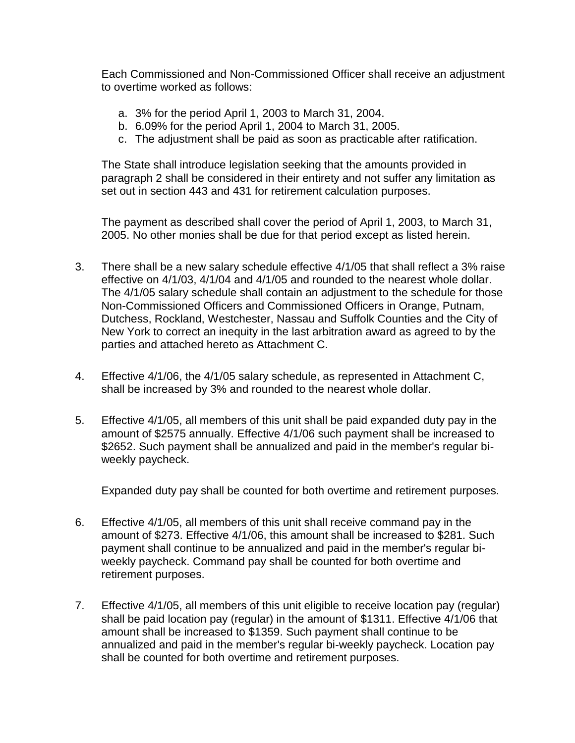Each Commissioned and Non-Commissioned Officer shall receive an adjustment to overtime worked as follows:

- a. 3% for the period April 1, 2003 to March 31, 2004.
- b. 6.09% for the period April 1, 2004 to March 31, 2005.
- c. The adjustment shall be paid as soon as practicable after ratification.

The State shall introduce legislation seeking that the amounts provided in paragraph 2 shall be considered in their entirety and not suffer any limitation as set out in section 443 and 431 for retirement calculation purposes.

The payment as described shall cover the period of April 1, 2003, to March 31, 2005. No other monies shall be due for that period except as listed herein.

- 3. There shall be a new salary schedule effective 4/1/05 that shall reflect a 3% raise effective on 4/1/03, 4/1/04 and 4/1/05 and rounded to the nearest whole dollar. The 4/1/05 salary schedule shall contain an adjustment to the schedule for those Non-Commissioned Officers and Commissioned Officers in Orange, Putnam, Dutchess, Rockland, Westchester, Nassau and Suffolk Counties and the City of New York to correct an inequity in the last arbitration award as agreed to by the parties and attached hereto as Attachment C.
- 4. Effective 4/1/06, the 4/1/05 salary schedule, as represented in Attachment C, shall be increased by 3% and rounded to the nearest whole dollar.
- 5. Effective 4/1/05, all members of this unit shall be paid expanded duty pay in the amount of \$2575 annually. Effective 4/1/06 such payment shall be increased to \$2652. Such payment shall be annualized and paid in the member's regular biweekly paycheck.

Expanded duty pay shall be counted for both overtime and retirement purposes.

- 6. Effective 4/1/05, all members of this unit shall receive command pay in the amount of \$273. Effective 4/1/06, this amount shall be increased to \$281. Such payment shall continue to be annualized and paid in the member's regular biweekly paycheck. Command pay shall be counted for both overtime and retirement purposes.
- 7. Effective 4/1/05, all members of this unit eligible to receive location pay (regular) shall be paid location pay (regular) in the amount of \$1311. Effective 4/1/06 that amount shall be increased to \$1359. Such payment shall continue to be annualized and paid in the member's regular bi-weekly paycheck. Location pay shall be counted for both overtime and retirement purposes.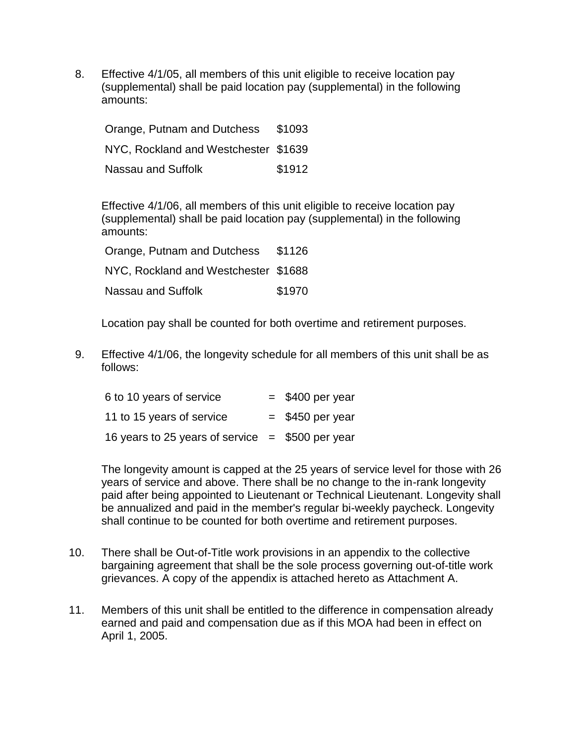8. Effective 4/1/05, all members of this unit eligible to receive location pay (supplemental) shall be paid location pay (supplemental) in the following amounts:

Orange, Putnam and Dutchess \$1093 NYC, Rockland and Westchester \$1639 Nassau and Suffolk **\$1912** 

Effective 4/1/06, all members of this unit eligible to receive location pay (supplemental) shall be paid location pay (supplemental) in the following amounts:

| Orange, Putnam and Dutchess          | \$1126 |
|--------------------------------------|--------|
| NYC, Rockland and Westchester \$1688 |        |
| Nassau and Suffolk                   | \$1970 |

Location pay shall be counted for both overtime and retirement purposes.

9. Effective 4/1/06, the longevity schedule for all members of this unit shall be as follows:

| 6 to 10 years of service                          | $=$ \$400 per year |
|---------------------------------------------------|--------------------|
| 11 to 15 years of service                         | $=$ \$450 per year |
| 16 years to 25 years of service $= $500$ per year |                    |

The longevity amount is capped at the 25 years of service level for those with 26 years of service and above. There shall be no change to the in-rank longevity paid after being appointed to Lieutenant or Technical Lieutenant. Longevity shall be annualized and paid in the member's regular bi-weekly paycheck. Longevity shall continue to be counted for both overtime and retirement purposes.

- 10. There shall be Out-of-Title work provisions in an appendix to the collective bargaining agreement that shall be the sole process governing out-of-title work grievances. A copy of the appendix is attached hereto as Attachment A.
- 11. Members of this unit shall be entitled to the difference in compensation already earned and paid and compensation due as if this MOA had been in effect on April 1, 2005.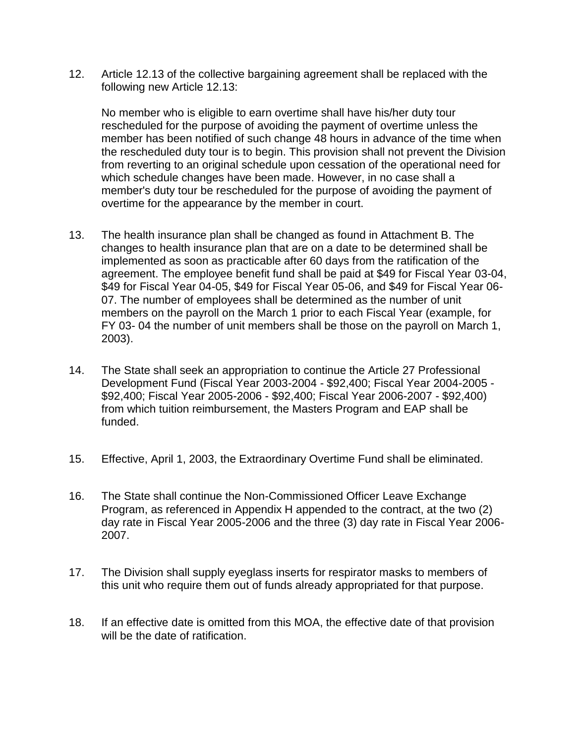12. Article 12.13 of the collective bargaining agreement shall be replaced with the following new Article 12.13:

No member who is eligible to earn overtime shall have his/her duty tour rescheduled for the purpose of avoiding the payment of overtime unless the member has been notified of such change 48 hours in advance of the time when the rescheduled duty tour is to begin. This provision shall not prevent the Division from reverting to an original schedule upon cessation of the operational need for which schedule changes have been made. However, in no case shall a member's duty tour be rescheduled for the purpose of avoiding the payment of overtime for the appearance by the member in court.

- 13. The health insurance plan shall be changed as found in Attachment B. The changes to health insurance plan that are on a date to be determined shall be implemented as soon as practicable after 60 days from the ratification of the agreement. The employee benefit fund shall be paid at \$49 for Fiscal Year 03-04, \$49 for Fiscal Year 04-05, \$49 for Fiscal Year 05-06, and \$49 for Fiscal Year 06- 07. The number of employees shall be determined as the number of unit members on the payroll on the March 1 prior to each Fiscal Year (example, for FY 03- 04 the number of unit members shall be those on the payroll on March 1, 2003).
- 14. The State shall seek an appropriation to continue the Article 27 Professional Development Fund (Fiscal Year 2003-2004 - \$92,400; Fiscal Year 2004-2005 - \$92,400; Fiscal Year 2005-2006 - \$92,400; Fiscal Year 2006-2007 - \$92,400) from which tuition reimbursement, the Masters Program and EAP shall be funded.
- 15. Effective, April 1, 2003, the Extraordinary Overtime Fund shall be eliminated.
- 16. The State shall continue the Non-Commissioned Officer Leave Exchange Program, as referenced in Appendix H appended to the contract, at the two (2) day rate in Fiscal Year 2005-2006 and the three (3) day rate in Fiscal Year 2006- 2007.
- 17. The Division shall supply eyeglass inserts for respirator masks to members of this unit who require them out of funds already appropriated for that purpose.
- 18. If an effective date is omitted from this MOA, the effective date of that provision will be the date of ratification.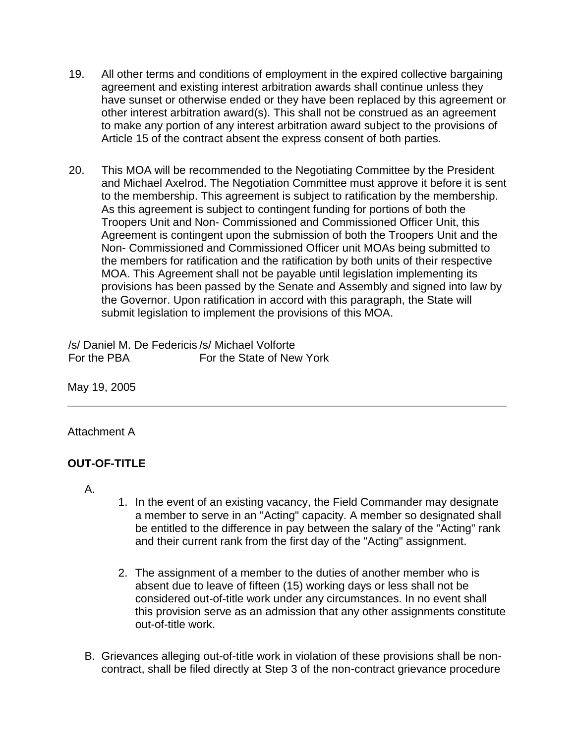- 19. All other terms and conditions of employment in the expired collective bargaining agreement and existing interest arbitration awards shall continue unless they have sunset or otherwise ended or they have been replaced by this agreement or other interest arbitration award(s). This shall not be construed as an agreement to make any portion of any interest arbitration award subject to the provisions of Article 15 of the contract absent the express consent of both parties.
- 20. This MOA will be recommended to the Negotiating Committee by the President and Michael Axelrod. The Negotiation Committee must approve it before it is sent to the membership. This agreement is subject to ratification by the membership. As this agreement is subject to contingent funding for portions of both the Troopers Unit and Non- Commissioned and Commissioned Officer Unit, this Agreement is contingent upon the submission of both the Troopers Unit and the Non- Commissioned and Commissioned Officer unit MOAs being submitted to the members for ratification and the ratification by both units of their respective MOA. This Agreement shall not be payable until legislation implementing its provisions has been passed by the Senate and Assembly and signed into law by the Governor. Upon ratification in accord with this paragraph, the State will submit legislation to implement the provisions of this MOA.

/s/ Daniel M. De Federicis /s/ Michael Volforte For the PBA For the State of New York

May 19, 2005

#### Attachment A

## **OUT-OF-TITLE**

A.

- 1. In the event of an existing vacancy, the Field Commander may designate a member to serve in an "Acting" capacity. A member so designated shall be entitled to the difference in pay between the salary of the "Acting" rank and their current rank from the first day of the "Acting" assignment.
- 2. The assignment of a member to the duties of another member who is absent due to leave of fifteen (15) working days or less shall not be considered out-of-title work under any circumstances. In no event shall this provision serve as an admission that any other assignments constitute out-of-title work.
- B. Grievances alleging out-of-title work in violation of these provisions shall be noncontract, shall be filed directly at Step 3 of the non-contract grievance procedure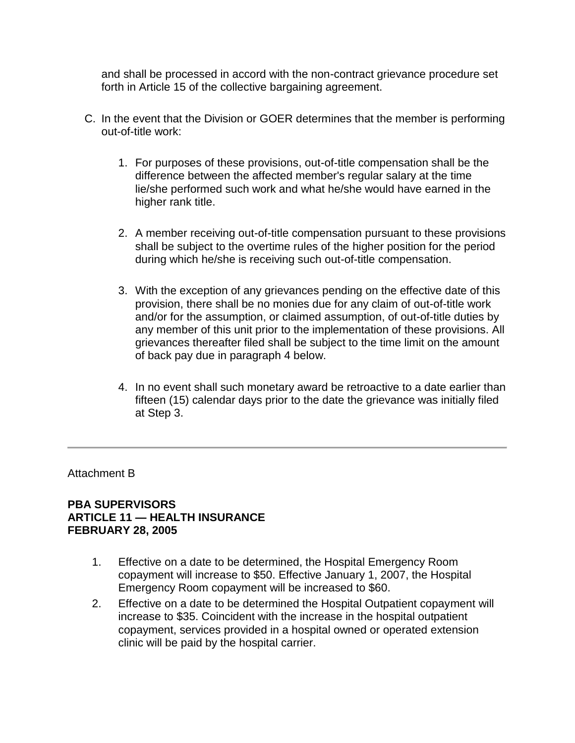and shall be processed in accord with the non-contract grievance procedure set forth in Article 15 of the collective bargaining agreement.

- C. In the event that the Division or GOER determines that the member is performing out-of-title work:
	- 1. For purposes of these provisions, out-of-title compensation shall be the difference between the affected member's regular salary at the time lie/she performed such work and what he/she would have earned in the higher rank title.
	- 2. A member receiving out-of-title compensation pursuant to these provisions shall be subject to the overtime rules of the higher position for the period during which he/she is receiving such out-of-title compensation.
	- 3. With the exception of any grievances pending on the effective date of this provision, there shall be no monies due for any claim of out-of-title work and/or for the assumption, or claimed assumption, of out-of-title duties by any member of this unit prior to the implementation of these provisions. All grievances thereafter filed shall be subject to the time limit on the amount of back pay due in paragraph 4 below.
	- 4. In no event shall such monetary award be retroactive to a date earlier than fifteen (15) calendar days prior to the date the grievance was initially filed at Step 3.

Attachment B

### **PBA SUPERVISORS ARTICLE 11 — HEALTH INSURANCE FEBRUARY 28, 2005**

- 1. Effective on a date to be determined, the Hospital Emergency Room copayment will increase to \$50. Effective January 1, 2007, the Hospital Emergency Room copayment will be increased to \$60.
- 2. Effective on a date to be determined the Hospital Outpatient copayment will increase to \$35. Coincident with the increase in the hospital outpatient copayment, services provided in a hospital owned or operated extension clinic will be paid by the hospital carrier.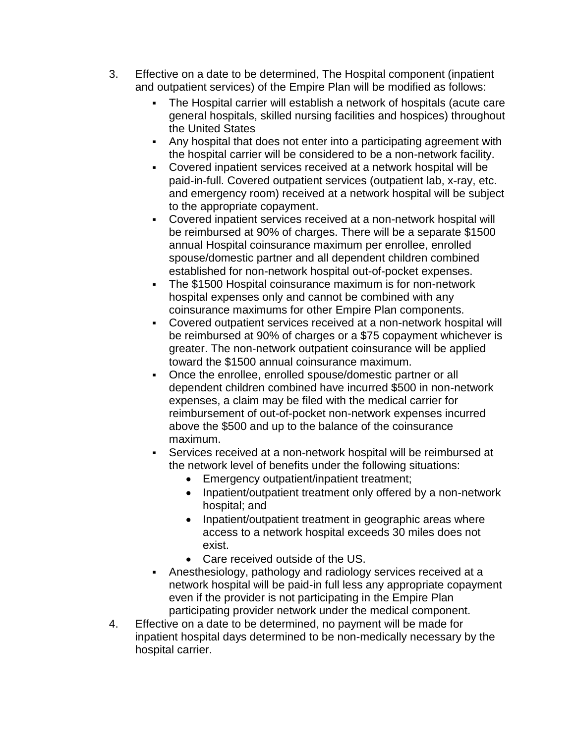- 3. Effective on a date to be determined, The Hospital component (inpatient and outpatient services) of the Empire Plan will be modified as follows:
	- The Hospital carrier will establish a network of hospitals (acute care general hospitals, skilled nursing facilities and hospices) throughout the United States
	- Any hospital that does not enter into a participating agreement with the hospital carrier will be considered to be a non-network facility.
	- Covered inpatient services received at a network hospital will be paid-in-full. Covered outpatient services (outpatient lab, x-ray, etc. and emergency room) received at a network hospital will be subject to the appropriate copayment.
	- Covered inpatient services received at a non-network hospital will be reimbursed at 90% of charges. There will be a separate \$1500 annual Hospital coinsurance maximum per enrollee, enrolled spouse/domestic partner and all dependent children combined established for non-network hospital out-of-pocket expenses.
	- The \$1500 Hospital coinsurance maximum is for non-network hospital expenses only and cannot be combined with any coinsurance maximums for other Empire Plan components.
	- Covered outpatient services received at a non-network hospital will be reimbursed at 90% of charges or a \$75 copayment whichever is greater. The non-network outpatient coinsurance will be applied toward the \$1500 annual coinsurance maximum.
	- Once the enrollee, enrolled spouse/domestic partner or all dependent children combined have incurred \$500 in non-network expenses, a claim may be filed with the medical carrier for reimbursement of out-of-pocket non-network expenses incurred above the \$500 and up to the balance of the coinsurance maximum.
	- Services received at a non-network hospital will be reimbursed at the network level of benefits under the following situations:
		- Emergency outpatient/inpatient treatment;
		- Inpatient/outpatient treatment only offered by a non-network hospital; and
		- Inpatient/outpatient treatment in geographic areas where access to a network hospital exceeds 30 miles does not exist.
		- Care received outside of the US.
	- Anesthesiology, pathology and radiology services received at a network hospital will be paid-in full less any appropriate copayment even if the provider is not participating in the Empire Plan participating provider network under the medical component.
- 4. Effective on a date to be determined, no payment will be made for inpatient hospital days determined to be non-medically necessary by the hospital carrier.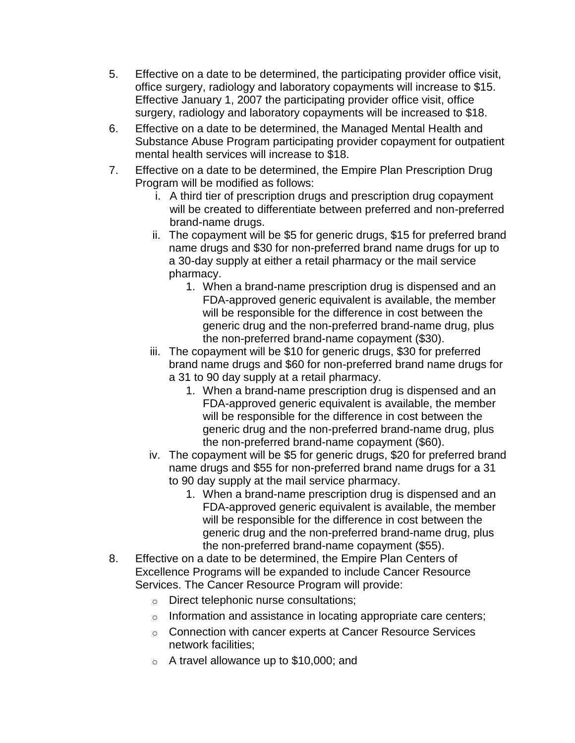- 5. Effective on a date to be determined, the participating provider office visit, office surgery, radiology and laboratory copayments will increase to \$15. Effective January 1, 2007 the participating provider office visit, office surgery, radiology and laboratory copayments will be increased to \$18.
- 6. Effective on a date to be determined, the Managed Mental Health and Substance Abuse Program participating provider copayment for outpatient mental health services will increase to \$18.
- 7. Effective on a date to be determined, the Empire Plan Prescription Drug Program will be modified as follows:
	- i. A third tier of prescription drugs and prescription drug copayment will be created to differentiate between preferred and non-preferred brand-name drugs.
	- ii. The copayment will be \$5 for generic drugs, \$15 for preferred brand name drugs and \$30 for non-preferred brand name drugs for up to a 30-day supply at either a retail pharmacy or the mail service pharmacy.
		- 1. When a brand-name prescription drug is dispensed and an FDA-approved generic equivalent is available, the member will be responsible for the difference in cost between the generic drug and the non-preferred brand-name drug, plus the non-preferred brand-name copayment (\$30).
	- iii. The copayment will be \$10 for generic drugs, \$30 for preferred brand name drugs and \$60 for non-preferred brand name drugs for a 31 to 90 day supply at a retail pharmacy.
		- 1. When a brand-name prescription drug is dispensed and an FDA-approved generic equivalent is available, the member will be responsible for the difference in cost between the generic drug and the non-preferred brand-name drug, plus the non-preferred brand-name copayment (\$60).
	- iv. The copayment will be \$5 for generic drugs, \$20 for preferred brand name drugs and \$55 for non-preferred brand name drugs for a 31 to 90 day supply at the mail service pharmacy.
		- 1. When a brand-name prescription drug is dispensed and an FDA-approved generic equivalent is available, the member will be responsible for the difference in cost between the generic drug and the non-preferred brand-name drug, plus the non-preferred brand-name copayment (\$55).
- 8. Effective on a date to be determined, the Empire Plan Centers of Excellence Programs will be expanded to include Cancer Resource Services. The Cancer Resource Program will provide:
	- o Direct telephonic nurse consultations;
	- o Information and assistance in locating appropriate care centers;
	- o Connection with cancer experts at Cancer Resource Services network facilities;
	- o A travel allowance up to \$10,000; and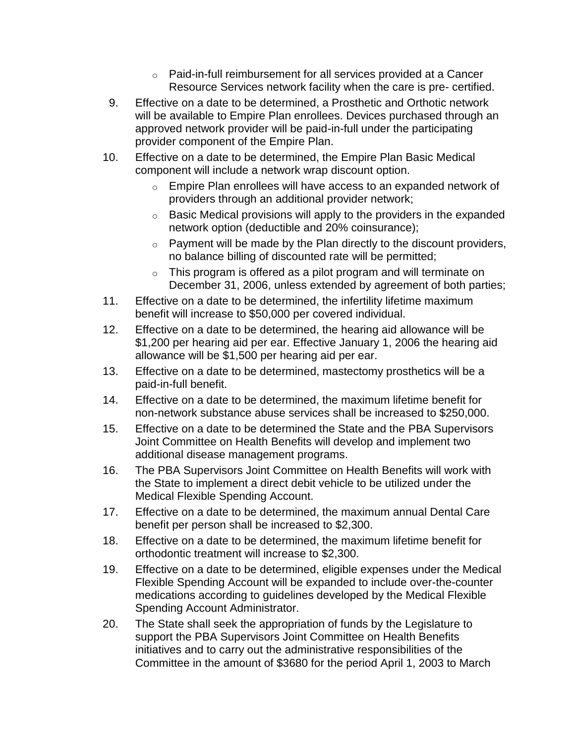- o Paid-in-full reimbursement for all services provided at a Cancer Resource Services network facility when the care is pre- certified.
- 9. Effective on a date to be determined, a Prosthetic and Orthotic network will be available to Empire Plan enrollees. Devices purchased through an approved network provider will be paid-in-full under the participating provider component of the Empire Plan.
- 10. Effective on a date to be determined, the Empire Plan Basic Medical component will include a network wrap discount option.
	- o Empire Plan enrollees will have access to an expanded network of providers through an additional provider network;
	- $\circ$  Basic Medical provisions will apply to the providers in the expanded network option (deductible and 20% coinsurance);
	- $\circ$  Payment will be made by the Plan directly to the discount providers, no balance billing of discounted rate will be permitted;
	- o This program is offered as a pilot program and will terminate on December 31, 2006, unless extended by agreement of both parties;
- 11. Effective on a date to be determined, the infertility lifetime maximum benefit will increase to \$50,000 per covered individual.
- 12. Effective on a date to be determined, the hearing aid allowance will be \$1,200 per hearing aid per ear. Effective January 1, 2006 the hearing aid allowance will be \$1,500 per hearing aid per ear.
- 13. Effective on a date to be determined, mastectomy prosthetics will be a paid-in-full benefit.
- 14. Effective on a date to be determined, the maximum lifetime benefit for non-network substance abuse services shall be increased to \$250,000.
- 15. Effective on a date to be determined the State and the PBA Supervisors Joint Committee on Health Benefits will develop and implement two additional disease management programs.
- 16. The PBA Supervisors Joint Committee on Health Benefits will work with the State to implement a direct debit vehicle to be utilized under the Medical Flexible Spending Account.
- 17. Effective on a date to be determined, the maximum annual Dental Care benefit per person shall be increased to \$2,300.
- 18. Effective on a date to be determined, the maximum lifetime benefit for orthodontic treatment will increase to \$2,300.
- 19. Effective on a date to be determined, eligible expenses under the Medical Flexible Spending Account will be expanded to include over-the-counter medications according to guidelines developed by the Medical Flexible Spending Account Administrator.
- 20. The State shall seek the appropriation of funds by the Legislature to support the PBA Supervisors Joint Committee on Health Benefits initiatives and to carry out the administrative responsibilities of the Committee in the amount of \$3680 for the period April 1, 2003 to March